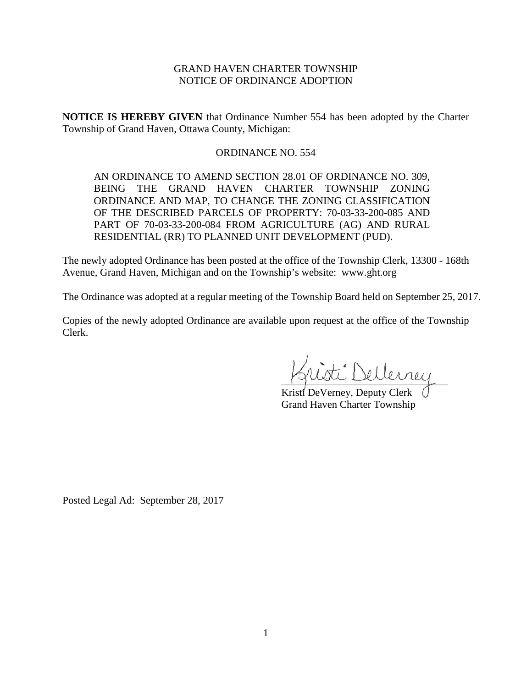# GRAND HAVEN CHARTER TOWNSHIP NOTICE OF ORDINANCE ADOPTION

**NOTICE IS HEREBY GIVEN** that Ordinance Number 554 has been adopted by the Charter Township of Grand Haven, Ottawa County, Michigan:

# ORDINANCE NO. 554

AN ORDINANCE TO AMEND SECTION 28.01 OF ORDINANCE NO. 309, BEING THE GRAND HAVEN CHARTER TOWNSHIP ZONING ORDINANCE AND MAP, TO CHANGE THE ZONING CLASSIFICATION OF THE DESCRIBED PARCELS OF PROPERTY: 70-03-33-200-085 AND PART OF 70-03-33-200-084 FROM AGRICULTURE (AG) AND RURAL RESIDENTIAL (RR) TO PLANNED UNIT DEVELOPMENT (PUD).

The newly adopted Ordinance has been posted at the office of the Township Clerk, 13300 - 168th Avenue, Grand Haven, Michigan and on the Township's website: www.ght.org

The Ordinance was adopted at a regular meeting of the Township Board held on September 25, 2017.

Copies of the newly adopted Ordinance are available upon request at the office of the Township Clerk.

\_\_\_\_\_\_\_\_\_\_\_\_\_\_\_\_\_\_\_\_\_\_\_\_\_\_\_\_\_\_\_\_

Kristi DeVerney, Deputy Clerk ( Grand Haven Charter Township

Posted Legal Ad: September 28, 2017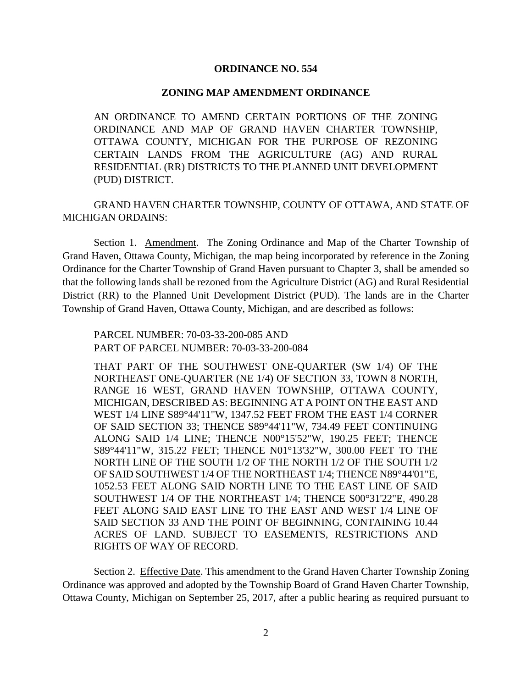### **ORDINANCE NO. 554**

#### **ZONING MAP AMENDMENT ORDINANCE**

AN ORDINANCE TO AMEND CERTAIN PORTIONS OF THE ZONING ORDINANCE AND MAP OF GRAND HAVEN CHARTER TOWNSHIP, OTTAWA COUNTY, MICHIGAN FOR THE PURPOSE OF REZONING CERTAIN LANDS FROM THE AGRICULTURE (AG) AND RURAL RESIDENTIAL (RR) DISTRICTS TO THE PLANNED UNIT DEVELOPMENT (PUD) DISTRICT.

GRAND HAVEN CHARTER TOWNSHIP, COUNTY OF OTTAWA, AND STATE OF MICHIGAN ORDAINS:

Section 1. Amendment. The Zoning Ordinance and Map of the Charter Township of Grand Haven, Ottawa County, Michigan, the map being incorporated by reference in the Zoning Ordinance for the Charter Township of Grand Haven pursuant to Chapter 3, shall be amended so that the following lands shall be rezoned from the Agriculture District (AG) and Rural Residential District (RR) to the Planned Unit Development District (PUD). The lands are in the Charter Township of Grand Haven, Ottawa County, Michigan, and are described as follows:

PARCEL NUMBER: 70-03-33-200-085 AND PART OF PARCEL NUMBER: 70-03-33-200-084

THAT PART OF THE SOUTHWEST ONE-QUARTER (SW 1/4) OF THE NORTHEAST ONE-QUARTER (NE 1/4) OF SECTION 33, TOWN 8 NORTH, RANGE 16 WEST, GRAND HAVEN TOWNSHIP, OTTAWA COUNTY, MICHIGAN, DESCRIBED AS: BEGINNING AT A POINT ON THE EAST AND WEST 1/4 LINE S89°44'11"W, 1347.52 FEET FROM THE EAST 1/4 CORNER OF SAID SECTION 33; THENCE S89°44'11"W, 734.49 FEET CONTINUING ALONG SAID 1/4 LINE; THENCE N00°15'52"W, 190.25 FEET; THENCE S89°44'11"W, 315.22 FEET; THENCE N01°13'32"W, 300.00 FEET TO THE NORTH LINE OF THE SOUTH 1/2 OF THE NORTH 1/2 OF THE SOUTH 1/2 OF SAID SOUTHWEST 1/4 OF THE NORTHEAST 1/4; THENCE N89°44'01"E, 1052.53 FEET ALONG SAID NORTH LINE TO THE EAST LINE OF SAID SOUTHWEST 1/4 OF THE NORTHEAST 1/4; THENCE S00°31'22"E, 490.28 FEET ALONG SAID EAST LINE TO THE EAST AND WEST 1/4 LINE OF SAID SECTION 33 AND THE POINT OF BEGINNING, CONTAINING 10.44 ACRES OF LAND. SUBJECT TO EASEMENTS, RESTRICTIONS AND RIGHTS OF WAY OF RECORD.

Section 2. Effective Date. This amendment to the Grand Haven Charter Township Zoning Ordinance was approved and adopted by the Township Board of Grand Haven Charter Township, Ottawa County, Michigan on September 25, 2017, after a public hearing as required pursuant to